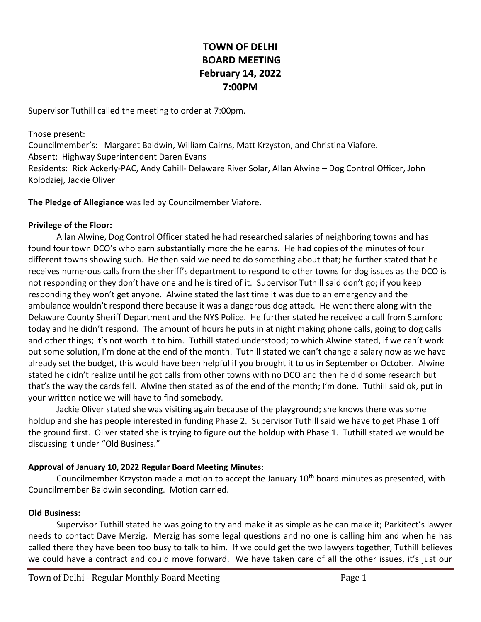# **TOWN OF DELHI BOARD MEETING February 14, 2022 7:00PM**

Supervisor Tuthill called the meeting to order at 7:00pm.

Those present: Councilmember's: Margaret Baldwin, William Cairns, Matt Krzyston, and Christina Viafore. Absent: Highway Superintendent Daren Evans Residents: Rick Ackerly-PAC, Andy Cahill- Delaware River Solar, Allan Alwine – Dog Control Officer, John Kolodziej, Jackie Oliver

**The Pledge of Allegiance** was led by Councilmember Viafore.

## **Privilege of the Floor:**

Allan Alwine, Dog Control Officer stated he had researched salaries of neighboring towns and has found four town DCO's who earn substantially more the he earns. He had copies of the minutes of four different towns showing such. He then said we need to do something about that; he further stated that he receives numerous calls from the sheriff's department to respond to other towns for dog issues as the DCO is not responding or they don't have one and he is tired of it. Supervisor Tuthill said don't go; if you keep responding they won't get anyone. Alwine stated the last time it was due to an emergency and the ambulance wouldn't respond there because it was a dangerous dog attack. He went there along with the Delaware County Sheriff Department and the NYS Police. He further stated he received a call from Stamford today and he didn't respond. The amount of hours he puts in at night making phone calls, going to dog calls and other things; it's not worth it to him. Tuthill stated understood; to which Alwine stated, if we can't work out some solution, I'm done at the end of the month. Tuthill stated we can't change a salary now as we have already set the budget, this would have been helpful if you brought it to us in September or October. Alwine stated he didn't realize until he got calls from other towns with no DCO and then he did some research but that's the way the cards fell. Alwine then stated as of the end of the month; I'm done. Tuthill said ok, put in your written notice we will have to find somebody.

Jackie Oliver stated she was visiting again because of the playground; she knows there was some holdup and she has people interested in funding Phase 2. Supervisor Tuthill said we have to get Phase 1 off the ground first. Oliver stated she is trying to figure out the holdup with Phase 1. Tuthill stated we would be discussing it under "Old Business."

# **Approval of January 10, 2022 Regular Board Meeting Minutes:**

Councilmember Krzyston made a motion to accept the January 10<sup>th</sup> board minutes as presented, with Councilmember Baldwin seconding. Motion carried.

# **Old Business:**

Supervisor Tuthill stated he was going to try and make it as simple as he can make it; Parkitect's lawyer needs to contact Dave Merzig. Merzig has some legal questions and no one is calling him and when he has called there they have been too busy to talk to him. If we could get the two lawyers together, Tuthill believes we could have a contract and could move forward. We have taken care of all the other issues, it's just our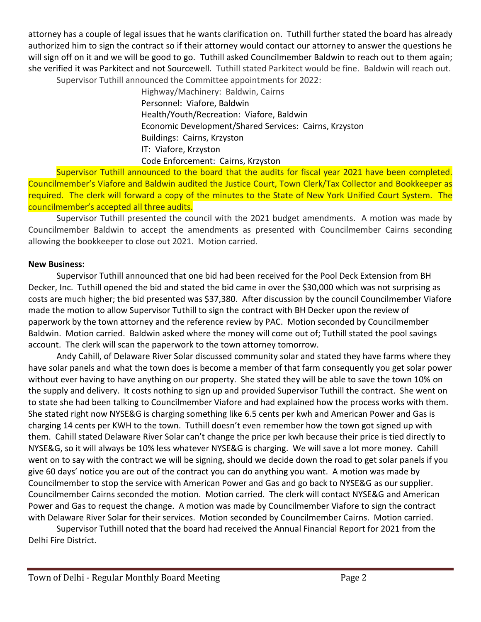attorney has a couple of legal issues that he wants clarification on. Tuthill further stated the board has already authorized him to sign the contract so if their attorney would contact our attorney to answer the questions he will sign off on it and we will be good to go. Tuthill asked Councilmember Baldwin to reach out to them again; she verified it was Parkitect and not Sourcewell. Tuthill stated Parkitect would be fine. Baldwin will reach out. Supervisor Tuthill announced the Committee appointments for 2022:

> Highway/Machinery: Baldwin, Cairns Personnel: Viafore, Baldwin Health/Youth/Recreation: Viafore, Baldwin Economic Development/Shared Services: Cairns, Krzyston Buildings: Cairns, Krzyston IT: Viafore, Krzyston Code Enforcement: Cairns, Krzyston

Supervisor Tuthill announced to the board that the audits for fiscal year 2021 have been completed. Councilmember's Viafore and Baldwin audited the Justice Court, Town Clerk/Tax Collector and Bookkeeper as required. The clerk will forward a copy of the minutes to the State of New York Unified Court System. The councilmember's accepted all three audits.

Supervisor Tuthill presented the council with the 2021 budget amendments. A motion was made by Councilmember Baldwin to accept the amendments as presented with Councilmember Cairns seconding allowing the bookkeeper to close out 2021. Motion carried.

## **New Business:**

Supervisor Tuthill announced that one bid had been received for the Pool Deck Extension from BH Decker, Inc. Tuthill opened the bid and stated the bid came in over the \$30,000 which was not surprising as costs are much higher; the bid presented was \$37,380. After discussion by the council Councilmember Viafore made the motion to allow Supervisor Tuthill to sign the contract with BH Decker upon the review of paperwork by the town attorney and the reference review by PAC. Motion seconded by Councilmember Baldwin. Motion carried. Baldwin asked where the money will come out of; Tuthill stated the pool savings account. The clerk will scan the paperwork to the town attorney tomorrow.

Andy Cahill, of Delaware River Solar discussed community solar and stated they have farms where they have solar panels and what the town does is become a member of that farm consequently you get solar power without ever having to have anything on our property. She stated they will be able to save the town 10% on the supply and delivery. It costs nothing to sign up and provided Supervisor Tuthill the contract. She went on to state she had been talking to Councilmember Viafore and had explained how the process works with them. She stated right now NYSE&G is charging something like 6.5 cents per kwh and American Power and Gas is charging 14 cents per KWH to the town. Tuthill doesn't even remember how the town got signed up with them. Cahill stated Delaware River Solar can't change the price per kwh because their price is tied directly to NYSE&G, so it will always be 10% less whatever NYSE&G is charging. We will save a lot more money. Cahill went on to say with the contract we will be signing, should we decide down the road to get solar panels if you give 60 days' notice you are out of the contract you can do anything you want. A motion was made by Councilmember to stop the service with American Power and Gas and go back to NYSE&G as our supplier. Councilmember Cairns seconded the motion. Motion carried. The clerk will contact NYSE&G and American Power and Gas to request the change. A motion was made by Councilmember Viafore to sign the contract with Delaware River Solar for their services. Motion seconded by Councilmember Cairns. Motion carried.

Supervisor Tuthill noted that the board had received the Annual Financial Report for 2021 from the Delhi Fire District.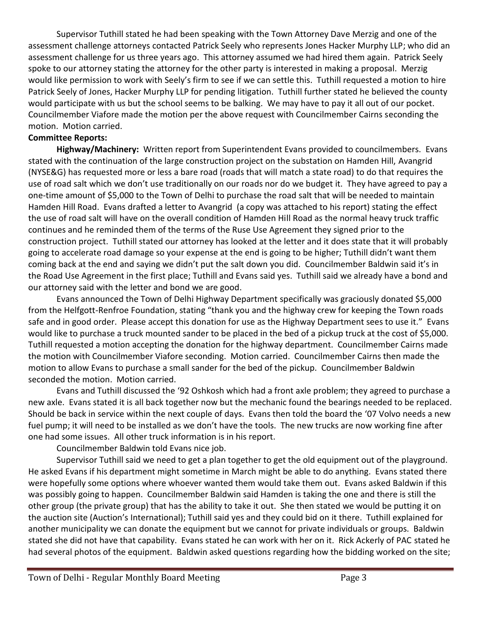Supervisor Tuthill stated he had been speaking with the Town Attorney Dave Merzig and one of the assessment challenge attorneys contacted Patrick Seely who represents Jones Hacker Murphy LLP; who did an assessment challenge for us three years ago. This attorney assumed we had hired them again. Patrick Seely spoke to our attorney stating the attorney for the other party is interested in making a proposal. Merzig would like permission to work with Seely's firm to see if we can settle this. Tuthill requested a motion to hire Patrick Seely of Jones, Hacker Murphy LLP for pending litigation. Tuthill further stated he believed the county would participate with us but the school seems to be balking. We may have to pay it all out of our pocket. Councilmember Viafore made the motion per the above request with Councilmember Cairns seconding the motion. Motion carried.

## **Committee Reports:**

**Highway/Machinery:** Written report from Superintendent Evans provided to councilmembers. Evans stated with the continuation of the large construction project on the substation on Hamden Hill, Avangrid (NYSE&G) has requested more or less a bare road (roads that will match a state road) to do that requires the use of road salt which we don't use traditionally on our roads nor do we budget it. They have agreed to pay a one-time amount of \$5,000 to the Town of Delhi to purchase the road salt that will be needed to maintain Hamden Hill Road. Evans drafted a letter to Avangrid (a copy was attached to his report) stating the effect the use of road salt will have on the overall condition of Hamden Hill Road as the normal heavy truck traffic continues and he reminded them of the terms of the Ruse Use Agreement they signed prior to the construction project. Tuthill stated our attorney has looked at the letter and it does state that it will probably going to accelerate road damage so your expense at the end is going to be higher; Tuthill didn't want them coming back at the end and saying we didn't put the salt down you did. Councilmember Baldwin said it's in the Road Use Agreement in the first place; Tuthill and Evans said yes. Tuthill said we already have a bond and our attorney said with the letter and bond we are good.

Evans announced the Town of Delhi Highway Department specifically was graciously donated \$5,000 from the Helfgott-Renfroe Foundation, stating "thank you and the highway crew for keeping the Town roads safe and in good order. Please accept this donation for use as the Highway Department sees to use it." Evans would like to purchase a truck mounted sander to be placed in the bed of a pickup truck at the cost of \$5,000. Tuthill requested a motion accepting the donation for the highway department. Councilmember Cairns made the motion with Councilmember Viafore seconding. Motion carried. Councilmember Cairns then made the motion to allow Evans to purchase a small sander for the bed of the pickup. Councilmember Baldwin seconded the motion. Motion carried.

Evans and Tuthill discussed the '92 Oshkosh which had a front axle problem; they agreed to purchase a new axle. Evans stated it is all back together now but the mechanic found the bearings needed to be replaced. Should be back in service within the next couple of days. Evans then told the board the '07 Volvo needs a new fuel pump; it will need to be installed as we don't have the tools. The new trucks are now working fine after one had some issues. All other truck information is in his report.

Councilmember Baldwin told Evans nice job.

Supervisor Tuthill said we need to get a plan together to get the old equipment out of the playground. He asked Evans if his department might sometime in March might be able to do anything. Evans stated there were hopefully some options where whoever wanted them would take them out. Evans asked Baldwin if this was possibly going to happen. Councilmember Baldwin said Hamden is taking the one and there is still the other group (the private group) that has the ability to take it out. She then stated we would be putting it on the auction site (Auction's International); Tuthill said yes and they could bid on it there. Tuthill explained for another municipality we can donate the equipment but we cannot for private individuals or groups. Baldwin stated she did not have that capability. Evans stated he can work with her on it. Rick Ackerly of PAC stated he had several photos of the equipment. Baldwin asked questions regarding how the bidding worked on the site;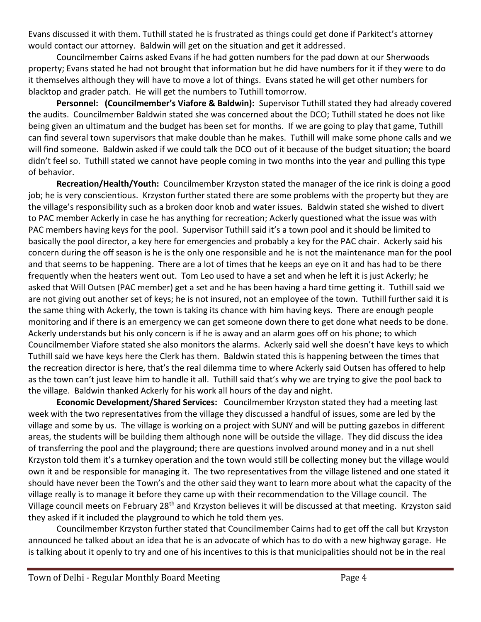Evans discussed it with them. Tuthill stated he is frustrated as things could get done if Parkitect's attorney would contact our attorney. Baldwin will get on the situation and get it addressed.

Councilmember Cairns asked Evans if he had gotten numbers for the pad down at our Sherwoods property; Evans stated he had not brought that information but he did have numbers for it if they were to do it themselves although they will have to move a lot of things. Evans stated he will get other numbers for blacktop and grader patch. He will get the numbers to Tuthill tomorrow.

**Personnel: (Councilmember's Viafore & Baldwin):** Supervisor Tuthill stated they had already covered the audits. Councilmember Baldwin stated she was concerned about the DCO; Tuthill stated he does not like being given an ultimatum and the budget has been set for months. If we are going to play that game, Tuthill can find several town supervisors that make double than he makes. Tuthill will make some phone calls and we will find someone. Baldwin asked if we could talk the DCO out of it because of the budget situation; the board didn't feel so. Tuthill stated we cannot have people coming in two months into the year and pulling this type of behavior.

**Recreation/Health/Youth:** Councilmember Krzyston stated the manager of the ice rink is doing a good job; he is very conscientious. Krzyston further stated there are some problems with the property but they are the village's responsibility such as a broken door knob and water issues. Baldwin stated she wished to divert to PAC member Ackerly in case he has anything for recreation; Ackerly questioned what the issue was with PAC members having keys for the pool. Supervisor Tuthill said it's a town pool and it should be limited to basically the pool director, a key here for emergencies and probably a key for the PAC chair. Ackerly said his concern during the off season is he is the only one responsible and he is not the maintenance man for the pool and that seems to be happening. There are a lot of times that he keeps an eye on it and has had to be there frequently when the heaters went out. Tom Leo used to have a set and when he left it is just Ackerly; he asked that Will Outsen (PAC member) get a set and he has been having a hard time getting it. Tuthill said we are not giving out another set of keys; he is not insured, not an employee of the town. Tuthill further said it is the same thing with Ackerly, the town is taking its chance with him having keys. There are enough people monitoring and if there is an emergency we can get someone down there to get done what needs to be done. Ackerly understands but his only concern is if he is away and an alarm goes off on his phone; to which Councilmember Viafore stated she also monitors the alarms. Ackerly said well she doesn't have keys to which Tuthill said we have keys here the Clerk has them. Baldwin stated this is happening between the times that the recreation director is here, that's the real dilemma time to where Ackerly said Outsen has offered to help as the town can't just leave him to handle it all. Tuthill said that's why we are trying to give the pool back to the village. Baldwin thanked Ackerly for his work all hours of the day and night.

**Economic Development/Shared Services:** Councilmember Krzyston stated they had a meeting last week with the two representatives from the village they discussed a handful of issues, some are led by the village and some by us. The village is working on a project with SUNY and will be putting gazebos in different areas, the students will be building them although none will be outside the village. They did discuss the idea of transferring the pool and the playground; there are questions involved around money and in a nut shell Krzyston told them it's a turnkey operation and the town would still be collecting money but the village would own it and be responsible for managing it. The two representatives from the village listened and one stated it should have never been the Town's and the other said they want to learn more about what the capacity of the village really is to manage it before they came up with their recommendation to the Village council. The Village council meets on February 28<sup>th</sup> and Krzyston believes it will be discussed at that meeting. Krzyston said they asked if it included the playground to which he told them yes.

Councilmember Krzyston further stated that Councilmember Cairns had to get off the call but Krzyston announced he talked about an idea that he is an advocate of which has to do with a new highway garage. He is talking about it openly to try and one of his incentives to this is that municipalities should not be in the real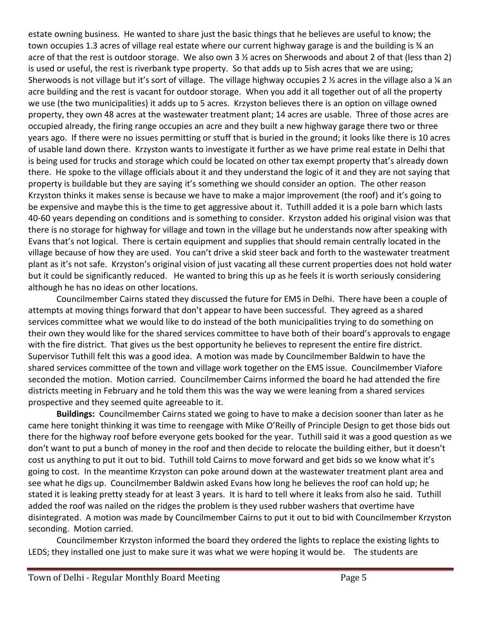estate owning business. He wanted to share just the basic things that he believes are useful to know; the town occupies 1.3 acres of village real estate where our current highway garage is and the building is % an acre of that the rest is outdoor storage. We also own 3 ½ acres on Sherwoods and about 2 of that (less than 2) is used or useful, the rest is riverbank type property. So that adds up to 5ish acres that we are using; Sherwoods is not village but it's sort of village. The village highway occupies 2 ½ acres in the village also a ¼ an acre building and the rest is vacant for outdoor storage. When you add it all together out of all the property we use (the two municipalities) it adds up to 5 acres. Krzyston believes there is an option on village owned property, they own 48 acres at the wastewater treatment plant; 14 acres are usable. Three of those acres are occupied already, the firing range occupies an acre and they built a new highway garage there two or three years ago. If there were no issues permitting or stuff that is buried in the ground; it looks like there is 10 acres of usable land down there. Krzyston wants to investigate it further as we have prime real estate in Delhi that is being used for trucks and storage which could be located on other tax exempt property that's already down there. He spoke to the village officials about it and they understand the logic of it and they are not saying that property is buildable but they are saying it's something we should consider an option. The other reason Krzyston thinks it makes sense is because we have to make a major improvement (the roof) and it's going to be expensive and maybe this is the time to get aggressive about it. Tuthill added it is a pole barn which lasts 40-60 years depending on conditions and is something to consider. Krzyston added his original vision was that there is no storage for highway for village and town in the village but he understands now after speaking with Evans that's not logical. There is certain equipment and supplies that should remain centrally located in the village because of how they are used. You can't drive a skid steer back and forth to the wastewater treatment plant as it's not safe. Krzyston's original vision of just vacating all these current properties does not hold water but it could be significantly reduced. He wanted to bring this up as he feels it is worth seriously considering although he has no ideas on other locations.

Councilmember Cairns stated they discussed the future for EMS in Delhi. There have been a couple of attempts at moving things forward that don't appear to have been successful. They agreed as a shared services committee what we would like to do instead of the both municipalities trying to do something on their own they would like for the shared services committee to have both of their board's approvals to engage with the fire district. That gives us the best opportunity he believes to represent the entire fire district. Supervisor Tuthill felt this was a good idea. A motion was made by Councilmember Baldwin to have the shared services committee of the town and village work together on the EMS issue. Councilmember Viafore seconded the motion. Motion carried. Councilmember Cairns informed the board he had attended the fire districts meeting in February and he told them this was the way we were leaning from a shared services prospective and they seemed quite agreeable to it.

**Buildings:** Councilmember Cairns stated we going to have to make a decision sooner than later as he came here tonight thinking it was time to reengage with Mike O'Reilly of Principle Design to get those bids out there for the highway roof before everyone gets booked for the year. Tuthill said it was a good question as we don't want to put a bunch of money in the roof and then decide to relocate the building either, but it doesn't cost us anything to put it out to bid. Tuthill told Cairns to move forward and get bids so we know what it's going to cost. In the meantime Krzyston can poke around down at the wastewater treatment plant area and see what he digs up. Councilmember Baldwin asked Evans how long he believes the roof can hold up; he stated it is leaking pretty steady for at least 3 years. It is hard to tell where it leaks from also he said. Tuthill added the roof was nailed on the ridges the problem is they used rubber washers that overtime have disintegrated. A motion was made by Councilmember Cairns to put it out to bid with Councilmember Krzyston seconding. Motion carried.

Councilmember Krzyston informed the board they ordered the lights to replace the existing lights to LEDS; they installed one just to make sure it was what we were hoping it would be. The students are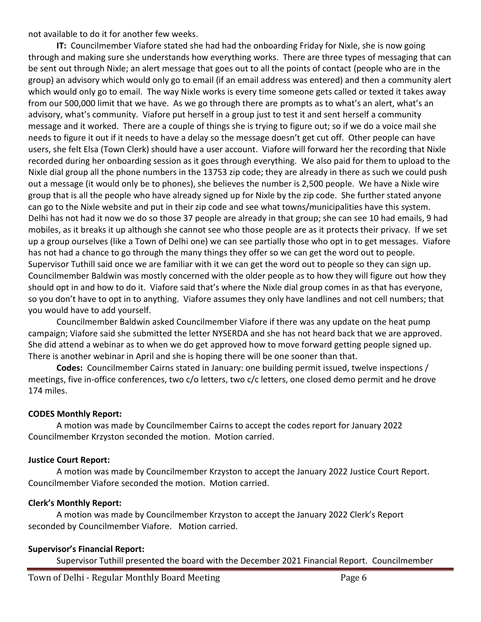not available to do it for another few weeks.

**IT:** Councilmember Viafore stated she had had the onboarding Friday for Nixle, she is now going through and making sure she understands how everything works. There are three types of messaging that can be sent out through Nixle; an alert message that goes out to all the points of contact (people who are in the group) an advisory which would only go to email (if an email address was entered) and then a community alert which would only go to email. The way Nixle works is every time someone gets called or texted it takes away from our 500,000 limit that we have. As we go through there are prompts as to what's an alert, what's an advisory, what's community. Viafore put herself in a group just to test it and sent herself a community message and it worked. There are a couple of things she is trying to figure out; so if we do a voice mail she needs to figure it out if it needs to have a delay so the message doesn't get cut off. Other people can have users, she felt Elsa (Town Clerk) should have a user account. Viafore will forward her the recording that Nixle recorded during her onboarding session as it goes through everything. We also paid for them to upload to the Nixle dial group all the phone numbers in the 13753 zip code; they are already in there as such we could push out a message (it would only be to phones), she believes the number is 2,500 people. We have a Nixle wire group that is all the people who have already signed up for Nixle by the zip code. She further stated anyone can go to the Nixle website and put in their zip code and see what towns/municipalities have this system. Delhi has not had it now we do so those 37 people are already in that group; she can see 10 had emails, 9 had mobiles, as it breaks it up although she cannot see who those people are as it protects their privacy. If we set up a group ourselves (like a Town of Delhi one) we can see partially those who opt in to get messages. Viafore has not had a chance to go through the many things they offer so we can get the word out to people. Supervisor Tuthill said once we are familiar with it we can get the word out to people so they can sign up. Councilmember Baldwin was mostly concerned with the older people as to how they will figure out how they should opt in and how to do it. Viafore said that's where the Nixle dial group comes in as that has everyone, so you don't have to opt in to anything. Viafore assumes they only have landlines and not cell numbers; that you would have to add yourself.

Councilmember Baldwin asked Councilmember Viafore if there was any update on the heat pump campaign; Viafore said she submitted the letter NYSERDA and she has not heard back that we are approved. She did attend a webinar as to when we do get approved how to move forward getting people signed up. There is another webinar in April and she is hoping there will be one sooner than that.

**Codes:** Councilmember Cairns stated in January: one building permit issued, twelve inspections / meetings, five in-office conferences, two c/o letters, two c/c letters, one closed demo permit and he drove 174 miles.

## **CODES Monthly Report:**

A motion was made by Councilmember Cairns to accept the codes report for January 2022 Councilmember Krzyston seconded the motion. Motion carried.

## **Justice Court Report:**

A motion was made by Councilmember Krzyston to accept the January 2022 Justice Court Report. Councilmember Viafore seconded the motion. Motion carried.

## **Clerk's Monthly Report:**

A motion was made by Councilmember Krzyston to accept the January 2022 Clerk's Report seconded by Councilmember Viafore. Motion carried.

## **Supervisor's Financial Report:**

Supervisor Tuthill presented the board with the December 2021 Financial Report. Councilmember